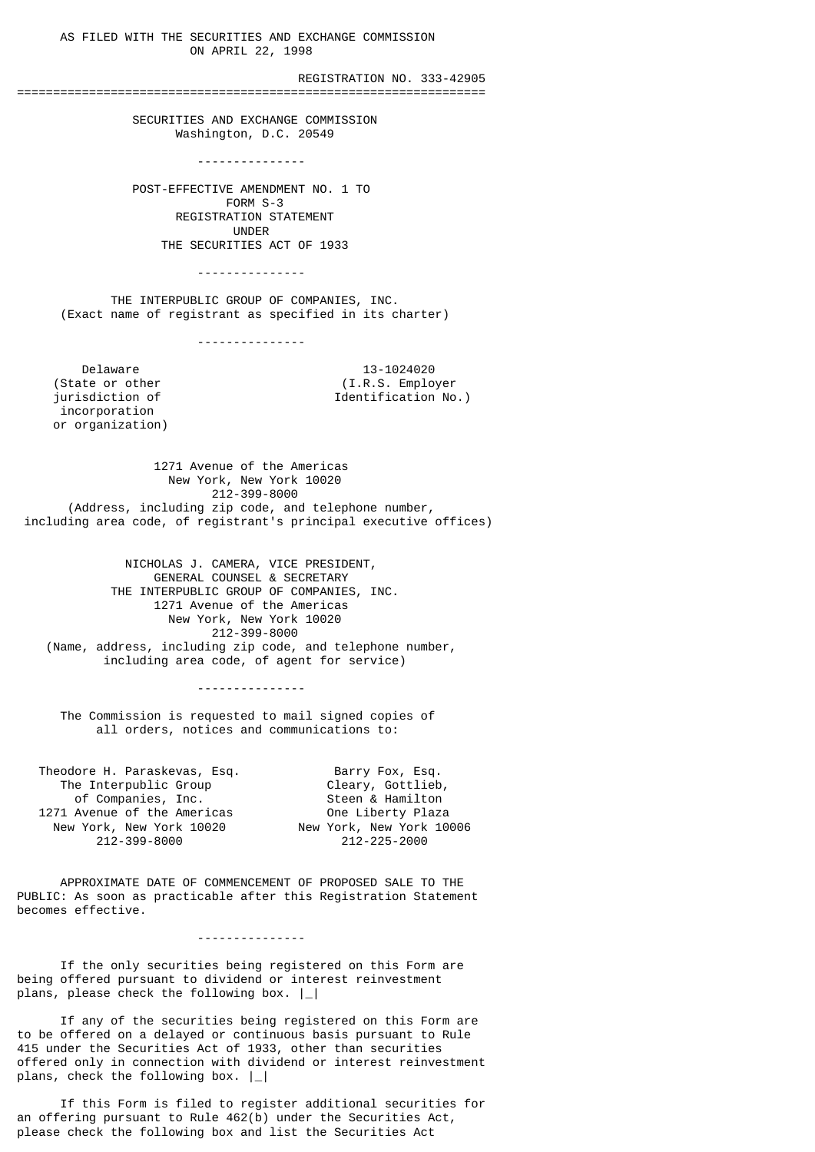AS FILED WITH THE SECURITIES AND EXCHANGE COMMISSION ON APRIL 22, 1998

REGISTRATION NO. 333-42905

 SECURITIES AND EXCHANGE COMMISSION Washington, D.C. 20549

=================================================================

 --------------- POST-EFFECTIVE AMENDMENT NO. 1 TO

 FORM S-3 REGISTRATION STATEMENT UNDER THE SECURITIES ACT OF 1933

---------------

 THE INTERPUBLIC GROUP OF COMPANIES, INC. (Exact name of registrant as specified in its charter)

---------------

Delaware 13-1024020<br>(State or other (I.R.S. Employ incorporation or organization)

(State or other  $(1.R.S.$  Employer<br>iurisdiction of  $\qquad \qquad$  Identification No Identification No.)

 1271 Avenue of the Americas New York, New York 10020 212-399-8000 (Address, including zip code, and telephone number, including area code, of registrant's principal executive offices)

 NICHOLAS J. CAMERA, VICE PRESIDENT, GENERAL COUNSEL & SECRETARY THE INTERPUBLIC GROUP OF COMPANIES, INC. 1271 Avenue of the Americas New York, New York 10020 212-399-8000 (Name, address, including zip code, and telephone number, including area code, of agent for service)

---------------

 The Commission is requested to mail signed copies of all orders, notices and communications to:

| Theodore H. Paraskevas, Esq. | Barry Fox, Esq.          |
|------------------------------|--------------------------|
| The Interpublic Group        | Cleary, Gottlieb,        |
| of Companies, Inc.           | Steen & Hamilton         |
| 1271 Avenue of the Americas  | One Liberty Plaza        |
| New York, New York 10020     | New York, New York 10006 |
| 212-399-8000                 | 212-225-2000             |
|                              |                          |

 APPROXIMATE DATE OF COMMENCEMENT OF PROPOSED SALE TO THE PUBLIC: As soon as practicable after this Registration Statement becomes effective.

---------------

 If the only securities being registered on this Form are being offered pursuant to dividend or interest reinvestment plans, please check the following box. |\_|

 If any of the securities being registered on this Form are to be offered on a delayed or continuous basis pursuant to Rule 415 under the Securities Act of 1933, other than securities offered only in connection with dividend or interest reinvestment plans, check the following box.  $|$ 

 If this Form is filed to register additional securities for an offering pursuant to Rule  $462(b)$  under the Securities Act, please check the following box and list the Securities Act